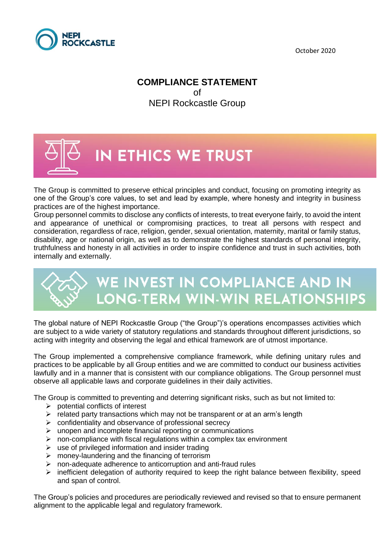October 2020



### **COMPLIANCE STATEMENT**  of NEPI Rockcastle Group

# **IN ETHICS WE TRUST**

The Group is committed to preserve ethical principles and conduct, focusing on promoting integrity as one of the Group's core values, to set and lead by example, where honesty and integrity in business practices are of the highest importance.

Group personnel commits to disclose any conflicts of interests, to treat everyone fairly, to avoid the intent and appearance of unethical or compromising practices, to treat all persons with respect and consideration, regardless of race, religion, gender, sexual orientation, maternity, marital or family status, disability, age or national origin, as well as to demonstrate the highest standards of personal integrity, truthfulness and honesty in all activities in order to inspire confidence and trust in such activities, both internally and externally.



### WE INVEST IN COMPLIANCE AND IN **LONG-TERM WIN-WIN RELATIONSHIPS**

The global nature of NEPI Rockcastle Group ("the Group")'s operations encompasses activities which are subject to a wide variety of statutory regulations and standards throughout different jurisdictions, so acting with integrity and observing the legal and ethical framework are of utmost importance.

The Group implemented a comprehensive compliance framework, while defining unitary rules and practices to be applicable by all Group entities and we are committed to conduct our business activities lawfully and in a manner that is consistent with our compliance obligations. The Group personnel must observe all applicable laws and corporate guidelines in their daily activities.

The Group is committed to preventing and deterring significant risks, such as but not limited to:

- $\triangleright$  potential conflicts of interest
- $\triangleright$  related party transactions which may not be transparent or at an arm's length
- ➢ confidentiality and observance of professional secrecy
- ➢ unopen and incomplete financial reporting or communications
- $\triangleright$  non-compliance with fiscal regulations within a complex tax environment
- $\triangleright$  use of privileged information and insider trading
- $\triangleright$  money-laundering and the financing of terrorism
- ➢ non-adequate adherence to anticorruption and anti-fraud rules
- $\triangleright$  inefficient delegation of authority required to keep the right balance between flexibility, speed and span of control.

The Group's policies and procedures are periodically reviewed and revised so that to ensure permanent alignment to the applicable legal and regulatory framework.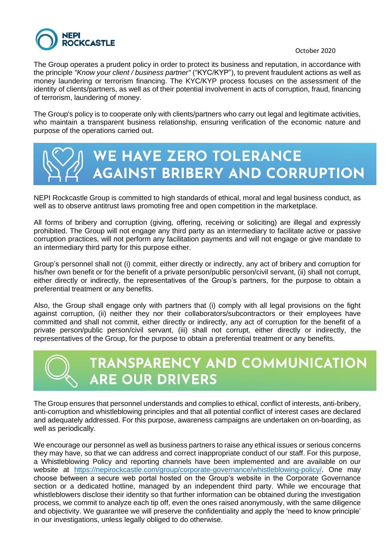

#### October 2020

The Group operates a prudent policy in order to protect its business and reputation, in accordance with the principle *"Know your client / business partner"* ("KYC/KYP"), to prevent fraudulent actions as well as money laundering or terrorism financing. The KYC/KYP process focuses on the assessment of the identity of clients/partners, as well as of their potential involvement in acts of corruption, fraud, financing of terrorism, laundering of money.

The Group's policy is to cooperate only with clients/partners who carry out legal and legitimate activities, who maintain a transparent business relationship, ensuring verification of the economic nature and purpose of the operations carried out.

### WE HAVE ZERO TOLERANCE **AGAINST BRIBERY AND CORRUPTION**

NEPI Rockcastle Group is committed to high standards of ethical, moral and legal business conduct, as well as to observe antitrust laws promoting free and open competition in the marketplace.

All forms of bribery and corruption (giving, offering, receiving or soliciting) are illegal and expressly prohibited. The Group will not engage any third party as an intermediary to facilitate active or passive corruption practices, will not perform any facilitation payments and will not engage or give mandate to an intermediary third party for this purpose either.

Group's personnel shall not (i) commit, either directly or indirectly, any act of bribery and corruption for his/her own benefit or for the benefit of a private person/public person/civil servant, (ii) shall not corrupt, either directly or indirectly, the representatives of the Group's partners, for the purpose to obtain a preferential treatment or any benefits.

Also, the Group shall engage only with partners that (i) comply with all legal provisions on the fight against corruption, (ii) neither they nor their collaborators/subcontractors or their employees have committed and shall not commit, either directly or indirectly, any act of corruption for the benefit of a private person/public person/civil servant, (iii) shall not corrupt, either directly or indirectly, the representatives of the Group, for the purpose to obtain a preferential treatment or any benefits.

## **TRANSPARENCY AND COMMUNICATION ARE OUR DRIVERS**

The Group ensures that personnel understands and complies to ethical, conflict of interests, anti-bribery, anti-corruption and whistleblowing principles and that all potential conflict of interest cases are declared and adequately addressed. For this purpose, awareness campaigns are undertaken on on-boarding, as well as periodically.

We encourage our personnel as well as business partners to raise any ethical issues or serious concerns they may have, so that we can address and correct inappropriate conduct of our staff. For this purpose, a Whistleblowing Policy and reporting channels have been implemented and are available on our website at [https://nepirockcastle.com/group/corporate-governance/whistleblowing-policy/.](https://nepirockcastle.com/group/corporate-governance/whistleblowing-policy/) One may choose between a secure web portal hosted on the Group's website in the Corporate Governance section or a dedicated hotline, managed by an independent third party. While we encourage that whistleblowers disclose their identity so that further information can be obtained during the investigation process, we commit to analyze each tip off, even the ones raised anonymously, with the same diligence and objectivity. We guarantee we will preserve the confidentiality and apply the 'need to know principle' in our investigations, unless legally obliged to do otherwise.